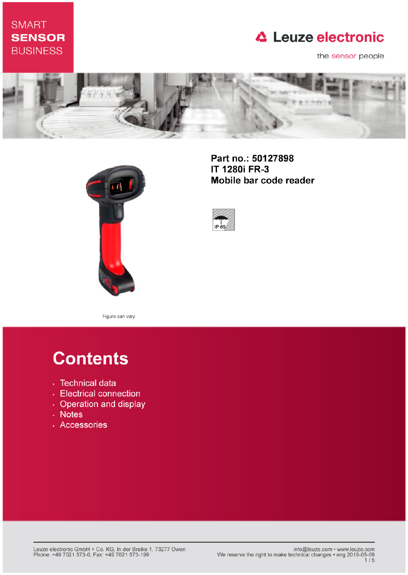## **SMART SENSOR BUSINESS**

## **△ Leuze electronic**

the sensor people





Part no.: 50127898 **IT 1280i FR-3** Mobile bar code reader



Figure can vary

# **Contents**

- · Technical data
- Electrical connection
- Operation and display
- Notes
- · Accessories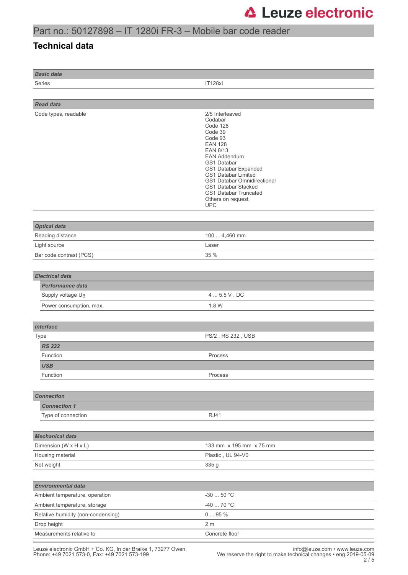## Part no.: 50127898 – IT 1280i FR-3 – Mobile bar code reader

## **Technical data**

| <b>Basic data</b>                  |                                                                                                                                                                                                                                                                                                                 |  |  |  |
|------------------------------------|-----------------------------------------------------------------------------------------------------------------------------------------------------------------------------------------------------------------------------------------------------------------------------------------------------------------|--|--|--|
| Series                             | IT128xi                                                                                                                                                                                                                                                                                                         |  |  |  |
|                                    |                                                                                                                                                                                                                                                                                                                 |  |  |  |
|                                    |                                                                                                                                                                                                                                                                                                                 |  |  |  |
| <b>Read data</b>                   |                                                                                                                                                                                                                                                                                                                 |  |  |  |
| Code types, readable               | 2/5 Interleaved<br>Codabar<br>Code 128<br>Code 39<br>Code 93<br><b>EAN 128</b><br><b>EAN 8/13</b><br><b>EAN Addendum</b><br>GS1 Databar<br>GS1 Databar Expanded<br>GS1 Databar Limited<br>GS1 Databar Omnidirectional<br>GS1 Databar Stacked<br><b>GS1 Databar Truncated</b><br>Others on request<br><b>UPC</b> |  |  |  |
| <b>Optical data</b>                |                                                                                                                                                                                                                                                                                                                 |  |  |  |
| Reading distance                   | 100  4,460 mm                                                                                                                                                                                                                                                                                                   |  |  |  |
| Light source                       | Laser                                                                                                                                                                                                                                                                                                           |  |  |  |
| Bar code contrast (PCS)            | 35 %                                                                                                                                                                                                                                                                                                            |  |  |  |
|                                    |                                                                                                                                                                                                                                                                                                                 |  |  |  |
| <b>Electrical data</b>             |                                                                                                                                                                                                                                                                                                                 |  |  |  |
| <b>Performance data</b>            |                                                                                                                                                                                                                                                                                                                 |  |  |  |
| Supply voltage UB                  | $4 \ldots 5.5$ V , DC                                                                                                                                                                                                                                                                                           |  |  |  |
| Power consumption, max.            | 1.8 W                                                                                                                                                                                                                                                                                                           |  |  |  |
|                                    |                                                                                                                                                                                                                                                                                                                 |  |  |  |
| <b>Interface</b>                   |                                                                                                                                                                                                                                                                                                                 |  |  |  |
| <b>Type</b>                        | PS/2, RS 232, USB                                                                                                                                                                                                                                                                                               |  |  |  |
| <b>RS 232</b>                      |                                                                                                                                                                                                                                                                                                                 |  |  |  |
| Function                           | Process                                                                                                                                                                                                                                                                                                         |  |  |  |
| <b>USB</b>                         |                                                                                                                                                                                                                                                                                                                 |  |  |  |
| Function                           | Process                                                                                                                                                                                                                                                                                                         |  |  |  |
|                                    |                                                                                                                                                                                                                                                                                                                 |  |  |  |
| <b>Connection</b>                  |                                                                                                                                                                                                                                                                                                                 |  |  |  |
| <b>Connection 1</b>                |                                                                                                                                                                                                                                                                                                                 |  |  |  |
| Type of connection                 | <b>RJ41</b>                                                                                                                                                                                                                                                                                                     |  |  |  |
|                                    |                                                                                                                                                                                                                                                                                                                 |  |  |  |
| <b>Mechanical data</b>             |                                                                                                                                                                                                                                                                                                                 |  |  |  |
| Dimension (W x H x L)              | 133 mm x 195 mm x 75 mm                                                                                                                                                                                                                                                                                         |  |  |  |
| Housing material                   | Plastic, UL 94-V0                                                                                                                                                                                                                                                                                               |  |  |  |
| Net weight                         | 335 g                                                                                                                                                                                                                                                                                                           |  |  |  |
|                                    |                                                                                                                                                                                                                                                                                                                 |  |  |  |
| <b>Environmental data</b>          |                                                                                                                                                                                                                                                                                                                 |  |  |  |
| Ambient temperature, operation     | $-3050$ °C                                                                                                                                                                                                                                                                                                      |  |  |  |
| Ambient temperature, storage       | -40  70 °C                                                                                                                                                                                                                                                                                                      |  |  |  |
| Relative humidity (non-condensing) | $095%$                                                                                                                                                                                                                                                                                                          |  |  |  |
| Drop height                        | 2 <sub>m</sub>                                                                                                                                                                                                                                                                                                  |  |  |  |
| Measurements relative to           | Concrete floor                                                                                                                                                                                                                                                                                                  |  |  |  |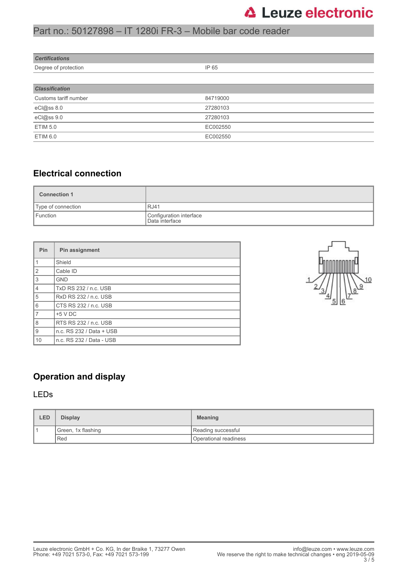## Part no.: 50127898 – IT 1280i FR-3 – Mobile bar code reader

| <b>Certifications</b> |          |
|-----------------------|----------|
| Degree of protection  | IP 65    |
|                       |          |
| <b>Classification</b> |          |
| Customs tariff number | 84719000 |
| eCl@ss 8.0            | 27280103 |
| eCl@ss 9.0            | 27280103 |
| <b>ETIM 5.0</b>       | EC002550 |
| ETIM 6.0              | EC002550 |

## **Electrical connection**

| <b>Connection 1</b> |                                           |  |
|---------------------|-------------------------------------------|--|
| Type of connection  | l RJ41                                    |  |
| Function            | Configuration interface<br>Data interface |  |

| Pin            | Pin assignment           |  |  |  |
|----------------|--------------------------|--|--|--|
| 1              | Shield                   |  |  |  |
| 2              | Cable ID                 |  |  |  |
| 3              | <b>GND</b>               |  |  |  |
| $\overline{4}$ | TxD RS 232 / n.c. USB    |  |  |  |
| 5              | RxD RS 232 / n.c. USB    |  |  |  |
| 6              | CTS RS 232 / n.c. USB    |  |  |  |
| $\overline{7}$ | $+5$ V DC                |  |  |  |
| 8              | RTS RS 232 / n.c. USB    |  |  |  |
| 9              | n.c. RS 232 / Data + USB |  |  |  |
| 10             | n.c. RS 232 / Data - USB |  |  |  |



## **Operation and display**

## LEDs

| <b>LED</b> | <b>Display</b>     | <b>Meaning</b>        |
|------------|--------------------|-----------------------|
|            | Green, 1x flashing | Reading successful    |
|            | Red                | Operational readiness |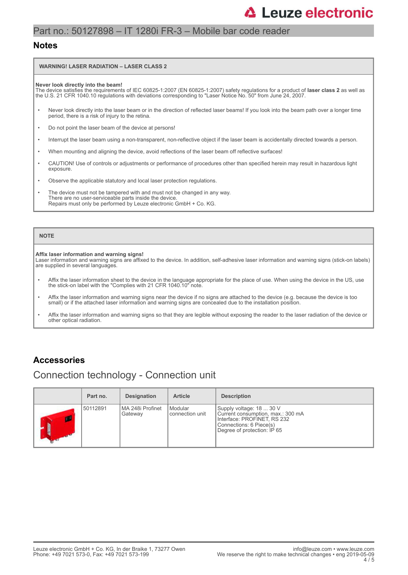## **△ Leuze electronic**

## Part no.: 50127898 – IT 1280i FR-3 – Mobile bar code reader

### **Notes**

### **WARNING! LASER RADIATION – LASER CLASS 2**

**Never look directly into the beam!** The device satisfies the requirements of IEC 60825-1:2007 (EN 60825-1:2007) safety regulations for a product of **laser class 2** as well as the U.S. 21 CFR 1040.10 regulations with deviations corresponding to "Laser Notice No. 50" from June 24, 2007.

- Never look directly into the laser beam or in the direction of reflected laser beams! If you look into the beam path over a longer time period, there is a risk of injury to the retina.
- Do not point the laser beam of the device at persons!
- Interrupt the laser beam using a non-transparent, non-reflective object if the laser beam is accidentally directed towards a person.
- When mounting and aligning the device, avoid reflections of the laser beam off reflective surfaces!
- CAUTION! Use of controls or adjustments or performance of procedures other than specified herein may result in hazardous light exposure.
- Observe the applicable statutory and local laser protection regulations.
- The device must not be tampered with and must not be changed in any way. There are no user-serviceable parts inside the device. Repairs must only be performed by Leuze electronic GmbH + Co. KG.

### **NOTE**

#### **Affix laser information and warning signs!**

Laser information and warning signs are affixed to the device. In addition, self-adhesive laser information and warning signs (stick-on labels) are supplied in several languages.

- Affix the laser information sheet to the device in the language appropriate for the place of use. When using the device in the US, use the stick-on label with the "Complies with 21 CFR 1040.10" note.
- Affix the laser information and warning signs near the device if no signs are attached to the device (e.g. because the device is too small) or if the attached laser information and warning signs are concealed due to the installation position.
- Affix the laser information and warning signs so that they are legible without exposing the reader to the laser radiation of the device or other optical radiation.

### **Accessories**

## Connection technology - Connection unit

| Part no. | <b>Designation</b>            | <b>Article</b>                 | <b>Description</b>                                                                                                                                     |
|----------|-------------------------------|--------------------------------|--------------------------------------------------------------------------------------------------------------------------------------------------------|
| 50112891 | l MA 248i Profinet<br>Gateway | l Modular<br>l connection unit | Supply voltage: 18  30 V<br>Current consumption, max.: 300 mA<br>Interface: PROFINET, RS 232<br>Connections: 6 Piece(s)<br>Degree of protection: IP 65 |